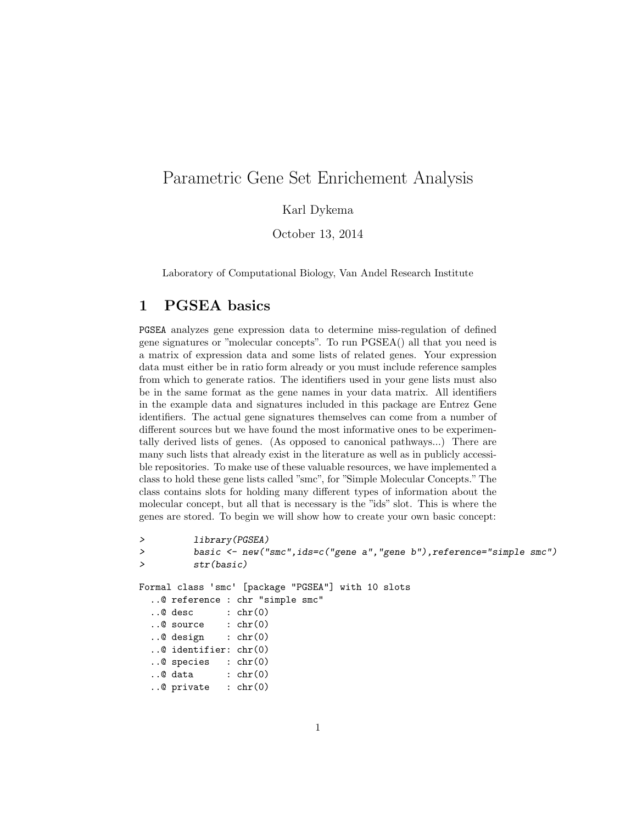## Parametric Gene Set Enrichement Analysis

Karl Dykema

October 13, 2014

Laboratory of Computational Biology, Van Andel Research Institute

#### 1 PGSEA basics

PGSEA analyzes gene expression data to determine miss-regulation of defined gene signatures or "molecular concepts". To run PGSEA() all that you need is a matrix of expression data and some lists of related genes. Your expression data must either be in ratio form already or you must include reference samples from which to generate ratios. The identifiers used in your gene lists must also be in the same format as the gene names in your data matrix. All identifiers in the example data and signatures included in this package are Entrez Gene identifiers. The actual gene signatures themselves can come from a number of different sources but we have found the most informative ones to be experimentally derived lists of genes. (As opposed to canonical pathways...) There are many such lists that already exist in the literature as well as in publicly accessible repositories. To make use of these valuable resources, we have implemented a class to hold these gene lists called "smc", for "Simple Molecular Concepts." The class contains slots for holding many different types of information about the molecular concept, but all that is necessary is the "ids" slot. This is where the genes are stored. To begin we will show how to create your own basic concept:

```
> library(PGSEA)
> basic <- new("smc",ids=c("gene a","gene b"),reference="simple smc")
> str(basic)
Formal class 'smc' [package "PGSEA"] with 10 slots
  ..@ reference : chr "simple smc"
 \ldots@ desc : chr(0)..@ source : chr(0)
  ..@ design : chr(0)
  ..@ identifier: chr(0)
  ..@ species : chr(0)
  ..@ data : chr(0)
  ..@ private : chr(0)
```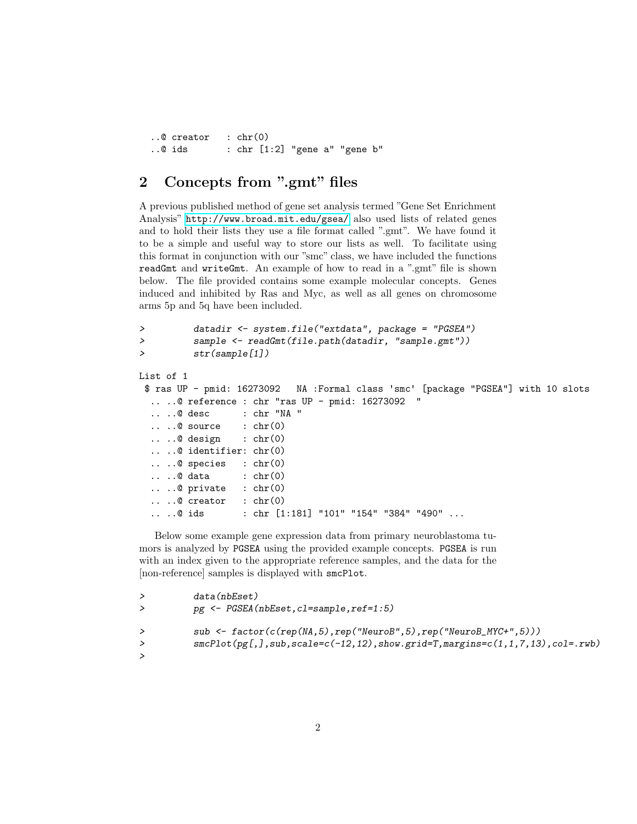```
..@ creator : chr(0)
..@ ids : chr [1:2] "gene a" "gene b"
```
#### 2 Concepts from ".gmt" files

A previous published method of gene set analysis termed "Gene Set Enrichment Analysis" <http://www.broad.mit.edu/gsea/> also used lists of related genes and to hold their lists they use a file format called ".gmt". We have found it to be a simple and useful way to store our lists as well. To facilitate using this format in conjunction with our "smc" class, we have included the functions readGmt and writeGmt. An example of how to read in a ".gmt" file is shown below. The file provided contains some example molecular concepts. Genes induced and inhibited by Ras and Myc, as well as all genes on chromosome arms 5p and 5q have been included.

```
> datadir <- system.file("extdata", package = "PGSEA")
> sample <- readGmt(file.path(datadir, "sample.gmt"))
> str(sample[1])
List of 1
 $ ras UP - pmid: 16273092 NA :Formal class 'smc' [package "PGSEA"] with 10 slots
  \ldots .. \theta reference : chr "ras UP - pmid: 16273092
  .. ..@ desc : chr "NA "
  \ldots ... \mathbb{Q} source \ldots chr(0)\ldots ...@ design : chr(0)
  .. ..@ identifier: chr(0)
  .. ..@ species : chr(0)
  .. ..@ data : chr(0)
  \ldots ... \mathbb{Q} private : chr(0)\ldots ... \mathbb{Q} creator : chr(0).. ..@ ids : chr [1:181] "101" "154" "384" "490" ...
```
Below some example gene expression data from primary neuroblastoma tumors is analyzed by PGSEA using the provided example concepts. PGSEA is run with an index given to the appropriate reference samples, and the data for the [non-reference] samples is displayed with smcPlot.

```
> data(nbEset)
> pg <- PGSEA(nbEset,cl=sample,ref=1:5)
> sub <- factor(c(rep(NA,5),rep("NeuroB",5),rep("NeuroB_MYC+",5)))
> smcPlot(pg[,],sub,scale=c(-12,12),show.grid=T,margins=c(1,1,7,13),col=.rwb)
>
```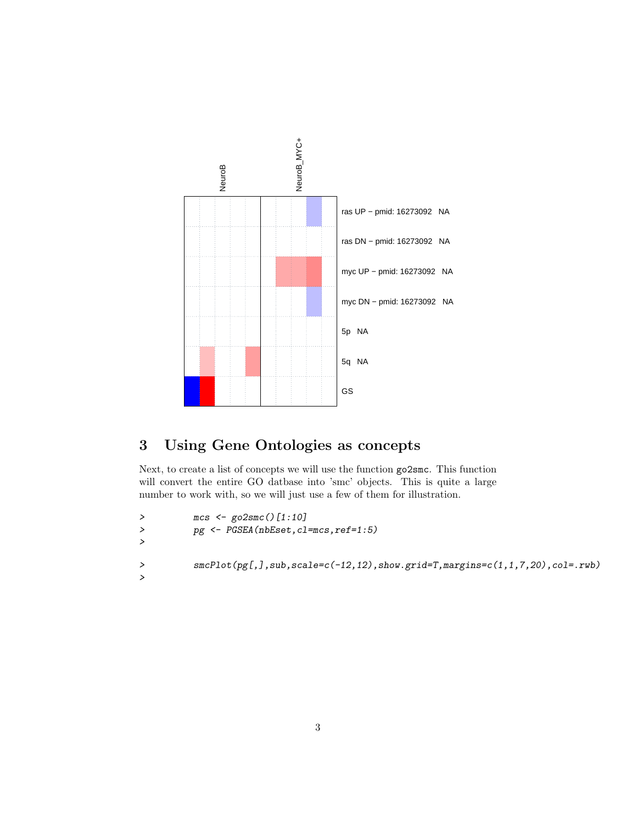

# 3 Using Gene Ontologies as concepts

Next, to create a list of concepts we will use the function go2smc. This function will convert the entire GO datbase into 'smc' objects. This is quite a large number to work with, so we will just use a few of them for illustration.

```
> mcs <- go2smc()[1:10]
> pg <- PGSEA(nbEset,cl=mcs,ref=1:5)
>
> smcPlot(pg[,],sub,scale=c(-12,12),show.grid=T,margins=c(1,1,7,20),col=.rwb)
>
```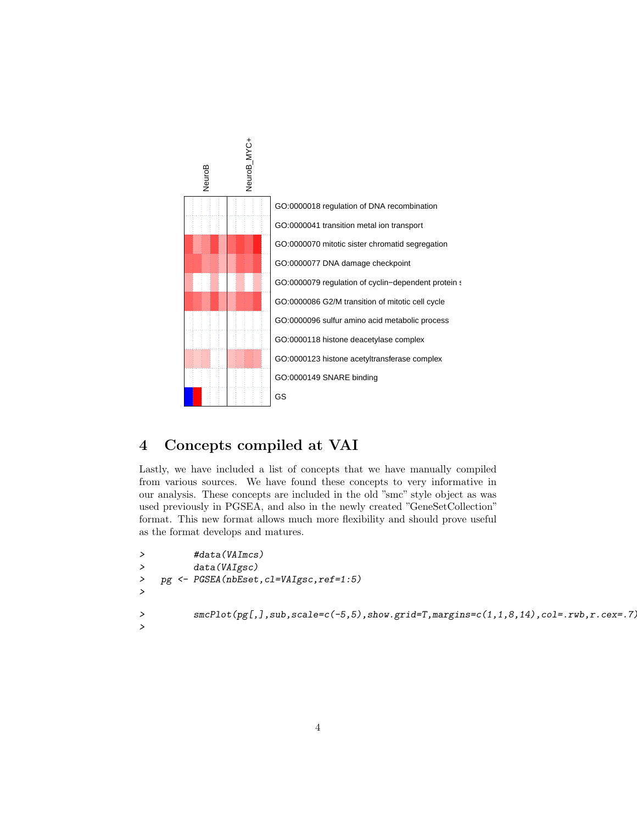

### 4 Concepts compiled at VAI

Lastly, we have included a list of concepts that we have manually compiled from various sources. We have found these concepts to very informative in our analysis. These concepts are included in the old "smc" style object as was used previously in PGSEA, and also in the newly created "GeneSetCollection" format. This new format allows much more flexibility and should prove useful as the format develops and matures.

```
> #data(VAImcs)
> data(VAIgsc)
> pg <- PGSEA(nbEset,cl=VAIgsc,ref=1:5)
>
> smcPlot(pg[,],sub,scale=c(-5,5),show.grid=T,margins=c(1,1,8,14),col=.rwb,r.cex=.7)
>
```